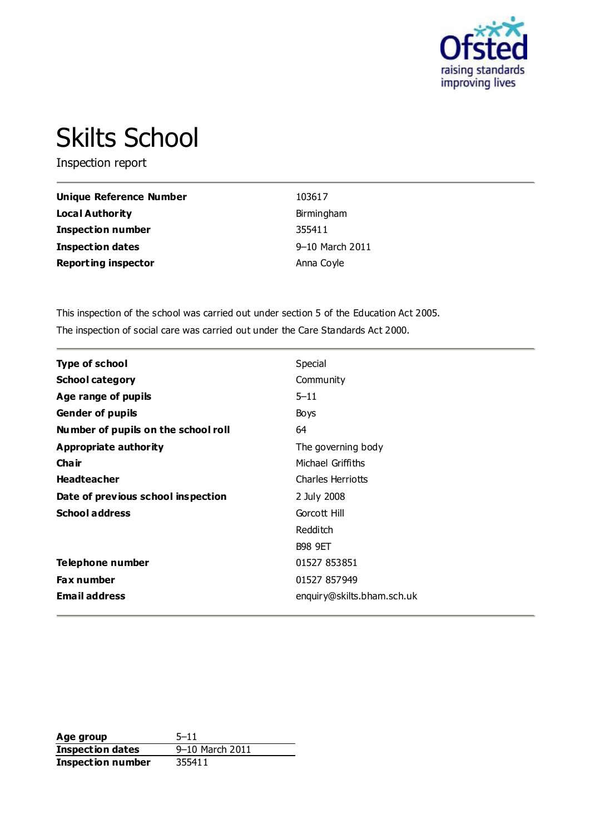

# Skilts School

Inspection report

| Unique Reference Number    | 103617          |
|----------------------------|-----------------|
| Local Authority            | Birmingham      |
| <b>Inspection number</b>   | 355411          |
| <b>Inspection dates</b>    | 9-10 March 2011 |
| <b>Reporting inspector</b> | Anna Coyle      |

This inspection of the school was carried out under section 5 of the Education Act 2005. The inspection of social care was carried out under the Care Standards Act 2000.

| <b>Type of school</b>               | Special                    |
|-------------------------------------|----------------------------|
| <b>School category</b>              | Community                  |
| Age range of pupils                 | $5 - 11$                   |
| <b>Gender of pupils</b>             | <b>Boys</b>                |
| Number of pupils on the school roll | 64                         |
| Appropriate authority               | The governing body         |
| Cha ir                              | Michael Griffiths          |
| <b>Headteacher</b>                  | <b>Charles Herriotts</b>   |
| Date of previous school inspection  | 2 July 2008                |
| <b>School address</b>               | Gorcott Hill               |
|                                     | <b>Redditch</b>            |
|                                     | <b>B98 9ET</b>             |
| Telephone number                    | 01527 853851               |
| <b>Fax number</b>                   | 01527 857949               |
| <b>Email address</b>                | enquiry@skilts.bham.sch.uk |

**Age group** 5–11 **Inspection dates** 9–10 March 2011 **Inspection number** 355411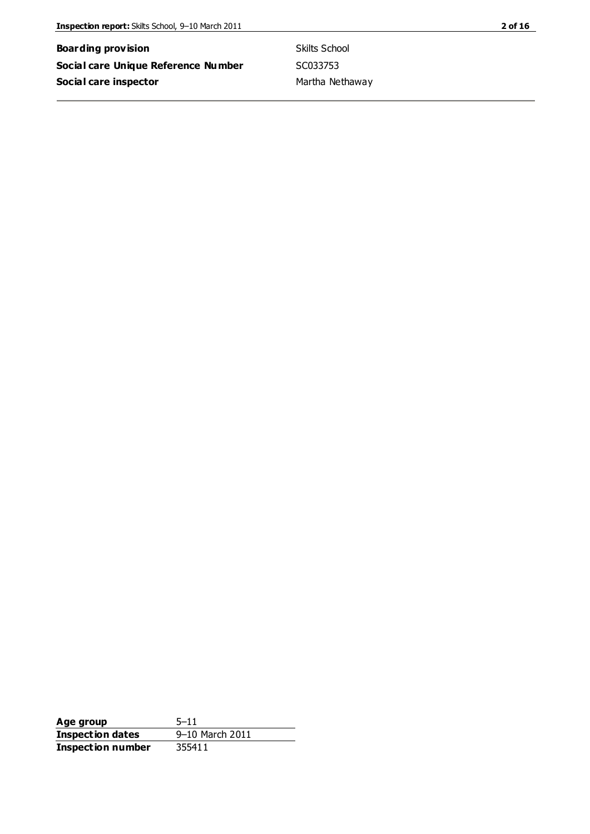**Boarding provision** Skilts School **Social care Unique Reference Number** SC033753 **Social care inspector Martha Nethaway** 

| Age group                | $5 - 11$        |
|--------------------------|-----------------|
| <b>Inspection dates</b>  | 9-10 March 2011 |
| <b>Inspection number</b> | 355411          |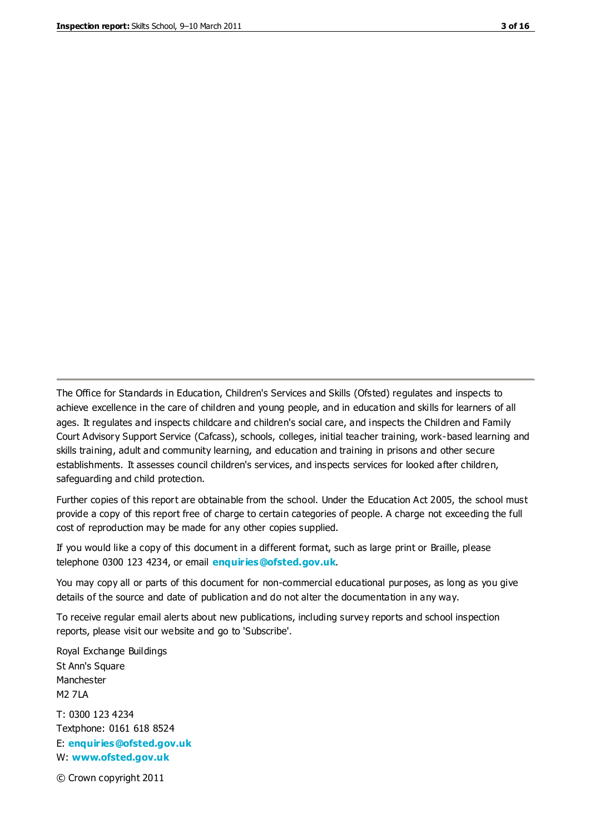The Office for Standards in Education, Children's Services and Skills (Ofsted) regulates and inspects to achieve excellence in the care of children and young people, and in education and skills for learners of all ages. It regulates and inspects childcare and children's social care, and inspects the Children and Family Court Advisory Support Service (Cafcass), schools, colleges, initial teacher training, work-based learning and skills training, adult and community learning, and education and training in prisons and other secure establishments. It assesses council children's services, and inspects services for looked after children, safeguarding and child protection.

Further copies of this report are obtainable from the school. Under the Education Act 2005, the school must provide a copy of this report free of charge to certain categories of people. A charge not exceeding the full cost of reproduction may be made for any other copies supplied.

If you would like a copy of this document in a different format, such as large print or Braille, please telephone 0300 123 4234, or email **[enquiries@ofsted.gov.uk](mailto:enquiries@ofsted.gov.uk)**.

You may copy all or parts of this document for non-commercial educational purposes, as long as you give details of the source and date of publication and do not alter the documentation in any way.

To receive regular email alerts about new publications, including survey reports and school inspection reports, please visit our website and go to 'Subscribe'.

Royal Exchange Buildings St Ann's Square Manchester M2 7LA T: 0300 123 4234 Textphone: 0161 618 8524 E: **[enquiries@ofsted.gov.uk](mailto:enquiries@ofsted.gov.uk)**

W: **[www.ofsted.gov.uk](http://www.ofsted.gov.uk/)**

© Crown copyright 2011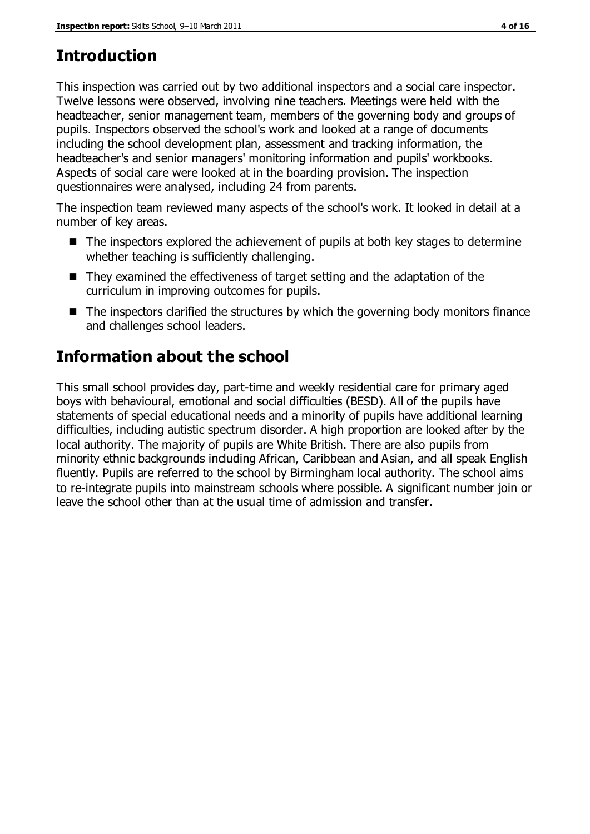# **Introduction**

This inspection was carried out by two additional inspectors and a social care inspector. Twelve lessons were observed, involving nine teachers. Meetings were held with the headteacher, senior management team, members of the governing body and groups of pupils. Inspectors observed the school's work and looked at a range of documents including the school development plan, assessment and tracking information, the headteacher's and senior managers' monitoring information and pupils' workbooks. Aspects of social care were looked at in the boarding provision. The inspection questionnaires were analysed, including 24 from parents.

The inspection team reviewed many aspects of the school's work. It looked in detail at a number of key areas.

- The inspectors explored the achievement of pupils at both key stages to determine whether teaching is sufficiently challenging.
- They examined the effectiveness of target setting and the adaptation of the curriculum in improving outcomes for pupils.
- $\blacksquare$  The inspectors clarified the structures by which the governing body monitors finance and challenges school leaders.

# **Information about the school**

This small school provides day, part-time and weekly residential care for primary aged boys with behavioural, emotional and social difficulties (BESD). All of the pupils have statements of special educational needs and a minority of pupils have additional learning difficulties, including autistic spectrum disorder. A high proportion are looked after by the local authority. The majority of pupils are White British. There are also pupils from minority ethnic backgrounds including African, Caribbean and Asian, and all speak English fluently. Pupils are referred to the school by Birmingham local authority. The school aims to re-integrate pupils into mainstream schools where possible. A significant number join or leave the school other than at the usual time of admission and transfer.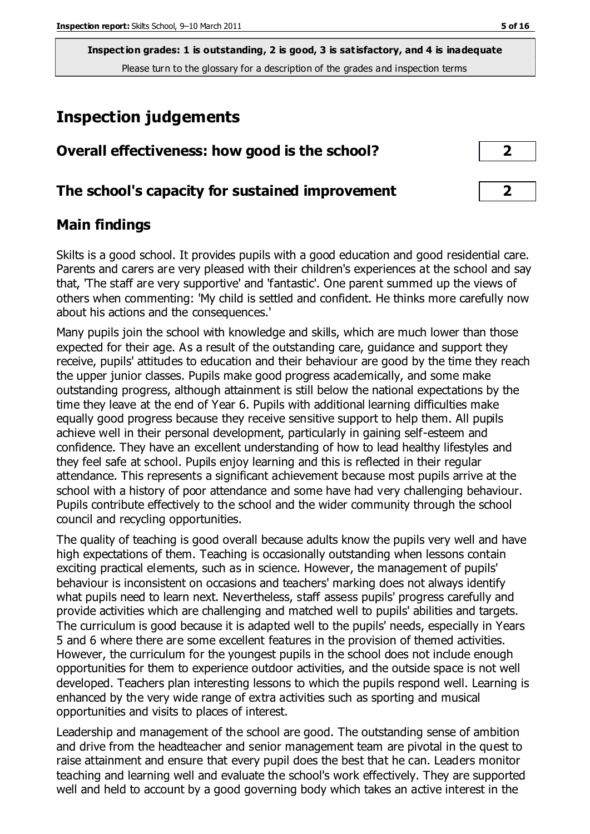# **Inspection judgements**

| Overall effectiveness: how good is the school? |  |  |  |
|------------------------------------------------|--|--|--|
|                                                |  |  |  |

#### **The school's capacity for sustained improvement 2**

#### **Main findings**

Skilts is a good school. It provides pupils with a good education and good residential care. Parents and carers are very pleased with their children's experiences at the school and say that, 'The staff are very supportive' and 'fantastic'. One parent summed up the views of others when commenting: 'My child is settled and confident. He thinks more carefully now about his actions and the consequences.'

Many pupils join the school with knowledge and skills, which are much lower than those expected for their age. As a result of the outstanding care, guidance and support they receive, pupils' attitudes to education and their behaviour are good by the time they reach the upper junior classes. Pupils make good progress academically, and some make outstanding progress, although attainment is still below the national expectations by the time they leave at the end of Year 6. Pupils with additional learning difficulties make equally good progress because they receive sensitive support to help them. All pupils achieve well in their personal development, particularly in gaining self-esteem and confidence. They have an excellent understanding of how to lead healthy lifestyles and they feel safe at school. Pupils enjoy learning and this is reflected in their regular attendance. This represents a significant achievement because most pupils arrive at the school with a history of poor attendance and some have had very challenging behaviour. Pupils contribute effectively to the school and the wider community through the school council and recycling opportunities.

The quality of teaching is good overall because adults know the pupils very well and have high expectations of them. Teaching is occasionally outstanding when lessons contain exciting practical elements, such as in science. However, the management of pupils' behaviour is inconsistent on occasions and teachers' marking does not always identify what pupils need to learn next. Nevertheless, staff assess pupils' progress carefully and provide activities which are challenging and matched well to pupils' abilities and targets. The curriculum is good because it is adapted well to the pupils' needs, especially in Years 5 and 6 where there are some excellent features in the provision of themed activities. However, the curriculum for the youngest pupils in the school does not include enough opportunities for them to experience outdoor activities, and the outside space is not well developed. Teachers plan interesting lessons to which the pupils respond well. Learning is enhanced by the very wide range of extra activities such as sporting and musical opportunities and visits to places of interest.

Leadership and management of the school are good. The outstanding sense of ambition and drive from the headteacher and senior management team are pivotal in the quest to raise attainment and ensure that every pupil does the best that he can. Leaders monitor teaching and learning well and evaluate the school's work effectively. They are supported well and held to account by a good governing body which takes an active interest in the

| 2 |  |
|---|--|
|   |  |
|   |  |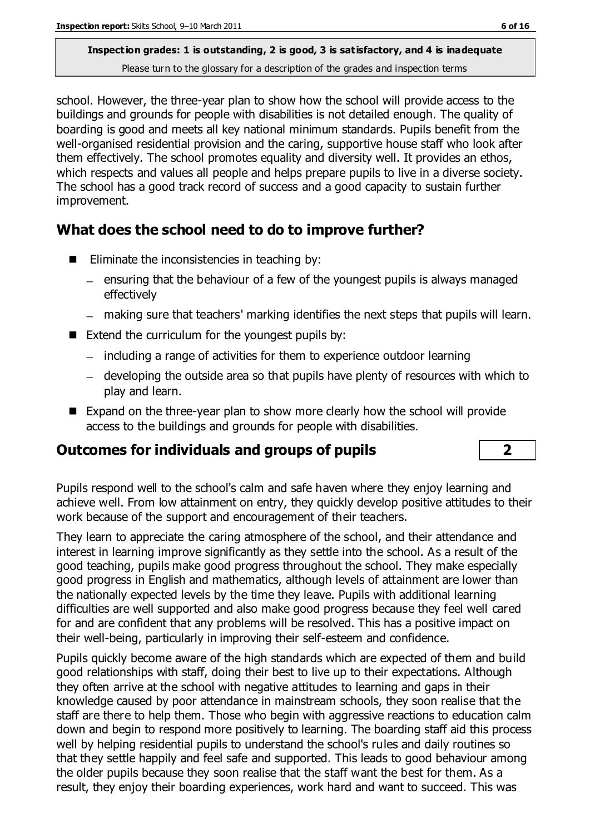school. However, the three-year plan to show how the school will provide access to the buildings and grounds for people with disabilities is not detailed enough. The quality of boarding is good and meets all key national minimum standards. Pupils benefit from the well-organised residential provision and the caring, supportive house staff who look after them effectively. The school promotes equality and diversity well. It provides an ethos, which respects and values all people and helps prepare pupils to live in a diverse society. The school has a good track record of success and a good capacity to sustain further improvement.

### **What does the school need to do to improve further?**

- $\blacksquare$  Eliminate the inconsistencies in teaching by:
	- $-$  ensuring that the behaviour of a few of the youngest pupils is always managed effectively
	- making sure that teachers' marking identifies the next steps that pupils will learn.
- Extend the curriculum for the youngest pupils by:
	- including a range of activities for them to experience outdoor learning
	- developing the outside area so that pupils have plenty of resources with which to play and learn.
- Expand on the three-year plan to show more clearly how the school will provide access to the buildings and grounds for people with disabilities.

#### **Outcomes for individuals and groups of pupils 2**

Pupils respond well to the school's calm and safe haven where they enjoy learning and achieve well. From low attainment on entry, they quickly develop positive attitudes to their work because of the support and encouragement of their teachers.

They learn to appreciate the caring atmosphere of the school, and their attendance and interest in learning improve significantly as they settle into the school. As a result of the good teaching, pupils make good progress throughout the school. They make especially good progress in English and mathematics, although levels of attainment are lower than the nationally expected levels by the time they leave. Pupils with additional learning difficulties are well supported and also make good progress because they feel well cared for and are confident that any problems will be resolved. This has a positive impact on their well-being, particularly in improving their self-esteem and confidence.

Pupils quickly become aware of the high standards which are expected of them and build good relationships with staff, doing their best to live up to their expectations. Although they often arrive at the school with negative attitudes to learning and gaps in their knowledge caused by poor attendance in mainstream schools, they soon realise that the staff are there to help them. Those who begin with aggressive reactions to education calm down and begin to respond more positively to learning. The boarding staff aid this process well by helping residential pupils to understand the school's rules and daily routines so that they settle happily and feel safe and supported. This leads to good behaviour among the older pupils because they soon realise that the staff want the best for them. As a result, they enjoy their boarding experiences, work hard and want to succeed. This was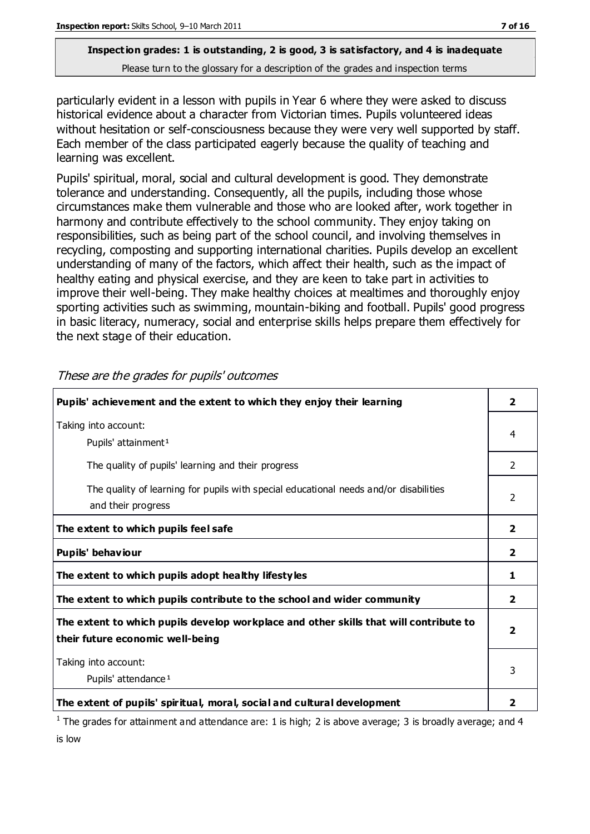particularly evident in a lesson with pupils in Year 6 where they were asked to discuss historical evidence about a character from Victorian times. Pupils volunteered ideas without hesitation or self-consciousness because they were very well supported by staff. Each member of the class participated eagerly because the quality of teaching and learning was excellent.

Pupils' spiritual, moral, social and cultural development is good. They demonstrate tolerance and understanding. Consequently, all the pupils, including those whose circumstances make them vulnerable and those who are looked after, work together in harmony and contribute effectively to the school community. They enjoy taking on responsibilities, such as being part of the school council, and involving themselves in recycling, composting and supporting international charities. Pupils develop an excellent understanding of many of the factors, which affect their health, such as the impact of healthy eating and physical exercise, and they are keen to take part in activities to improve their well-being. They make healthy choices at mealtimes and thoroughly enjoy sporting activities such as swimming, mountain-biking and football. Pupils' good progress in basic literacy, numeracy, social and enterprise skills helps prepare them effectively for the next stage of their education.

| Pupils' achievement and the extent to which they enjoy their learning                                                     | 2                       |
|---------------------------------------------------------------------------------------------------------------------------|-------------------------|
| Taking into account:<br>Pupils' attainment <sup>1</sup>                                                                   | 4                       |
| The quality of pupils' learning and their progress                                                                        | 2                       |
| The quality of learning for pupils with special educational needs and/or disabilities<br>and their progress               | $\overline{2}$          |
| The extent to which pupils feel safe                                                                                      | $\overline{\mathbf{2}}$ |
| Pupils' behaviour                                                                                                         | $\mathbf{2}$            |
| The extent to which pupils adopt healthy lifestyles                                                                       | 1                       |
| The extent to which pupils contribute to the school and wider community                                                   | $\overline{\mathbf{2}}$ |
| The extent to which pupils develop workplace and other skills that will contribute to<br>their future economic well-being | $\overline{\mathbf{2}}$ |
| Taking into account:<br>Pupils' attendance <sup>1</sup>                                                                   | 3                       |
| The extent of pupils' spiritual, moral, social and cultural development                                                   |                         |

These are the grades for pupils' outcomes

<sup>1</sup> The grades for attainment and attendance are: 1 is high; 2 is above average; 3 is broadly average; and 4 is low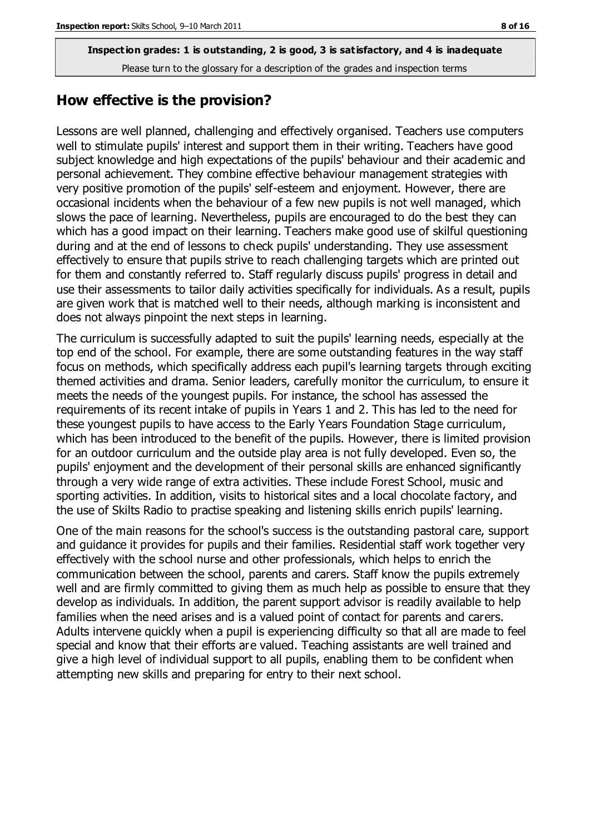#### **How effective is the provision?**

Lessons are well planned, challenging and effectively organised. Teachers use computers well to stimulate pupils' interest and support them in their writing. Teachers have good subject knowledge and high expectations of the pupils' behaviour and their academic and personal achievement. They combine effective behaviour management strategies with very positive promotion of the pupils' self-esteem and enjoyment. However, there are occasional incidents when the behaviour of a few new pupils is not well managed, which slows the pace of learning. Nevertheless, pupils are encouraged to do the best they can which has a good impact on their learning. Teachers make good use of skilful questioning during and at the end of lessons to check pupils' understanding. They use assessment effectively to ensure that pupils strive to reach challenging targets which are printed out for them and constantly referred to. Staff regularly discuss pupils' progress in detail and use their assessments to tailor daily activities specifically for individuals. As a result, pupils are given work that is matched well to their needs, although marking is inconsistent and does not always pinpoint the next steps in learning.

The curriculum is successfully adapted to suit the pupils' learning needs, especially at the top end of the school. For example, there are some outstanding features in the way staff focus on methods, which specifically address each pupil's learning targets through exciting themed activities and drama. Senior leaders, carefully monitor the curriculum, to ensure it meets the needs of the youngest pupils. For instance, the school has assessed the requirements of its recent intake of pupils in Years 1 and 2. This has led to the need for these youngest pupils to have access to the Early Years Foundation Stage curriculum, which has been introduced to the benefit of the pupils. However, there is limited provision for an outdoor curriculum and the outside play area is not fully developed. Even so, the pupils' enjoyment and the development of their personal skills are enhanced significantly through a very wide range of extra activities. These include Forest School, music and sporting activities. In addition, visits to historical sites and a local chocolate factory, and the use of Skilts Radio to practise speaking and listening skills enrich pupils' learning.

One of the main reasons for the school's success is the outstanding pastoral care, support and guidance it provides for pupils and their families. Residential staff work together very effectively with the school nurse and other professionals, which helps to enrich the communication between the school, parents and carers. Staff know the pupils extremely well and are firmly committed to giving them as much help as possible to ensure that they develop as individuals. In addition, the parent support advisor is readily available to help families when the need arises and is a valued point of contact for parents and carers. Adults intervene quickly when a pupil is experiencing difficulty so that all are made to feel special and know that their efforts are valued. Teaching assistants are well trained and give a high level of individual support to all pupils, enabling them to be confident when attempting new skills and preparing for entry to their next school.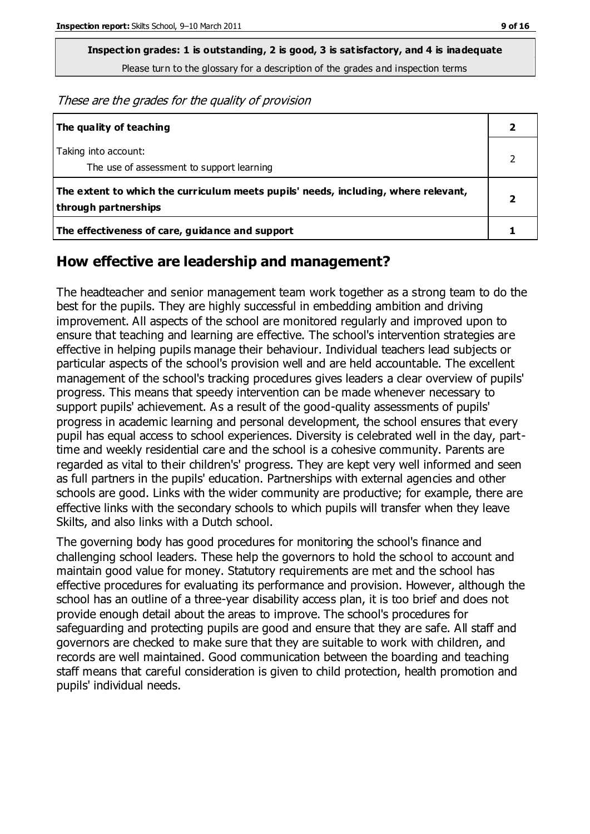**Inspection grades: 1 is outstanding, 2 is good, 3 is satisfactory, and 4 is inadequate**

Please turn to the glossary for a description of the grades and inspection terms

These are the grades for the quality of provision

| The quality of teaching                                                                                    |  |
|------------------------------------------------------------------------------------------------------------|--|
| Taking into account:<br>The use of assessment to support learning                                          |  |
| The extent to which the curriculum meets pupils' needs, including, where relevant,<br>through partnerships |  |
| The effectiveness of care, guidance and support                                                            |  |

#### **How effective are leadership and management?**

The headteacher and senior management team work together as a strong team to do the best for the pupils. They are highly successful in embedding ambition and driving improvement. All aspects of the school are monitored regularly and improved upon to ensure that teaching and learning are effective. The school's intervention strategies are effective in helping pupils manage their behaviour. Individual teachers lead subjects or particular aspects of the school's provision well and are held accountable. The excellent management of the school's tracking procedures gives leaders a clear overview of pupils' progress. This means that speedy intervention can be made whenever necessary to support pupils' achievement. As a result of the good-quality assessments of pupils' progress in academic learning and personal development, the school ensures that every pupil has equal access to school experiences. Diversity is celebrated well in the day, parttime and weekly residential care and the school is a cohesive community. Parents are regarded as vital to their children's' progress. They are kept very well informed and seen as full partners in the pupils' education. Partnerships with external agencies and other schools are good. Links with the wider community are productive; for example, there are effective links with the secondary schools to which pupils will transfer when they leave Skilts, and also links with a Dutch school.

The governing body has good procedures for monitoring the school's finance and challenging school leaders. These help the governors to hold the school to account and maintain good value for money. Statutory requirements are met and the school has effective procedures for evaluating its performance and provision. However, although the school has an outline of a three-year disability access plan, it is too brief and does not provide enough detail about the areas to improve. The school's procedures for safeguarding and protecting pupils are good and ensure that they are safe. All staff and governors are checked to make sure that they are suitable to work with children, and records are well maintained. Good communication between the boarding and teaching staff means that careful consideration is given to child protection, health promotion and pupils' individual needs.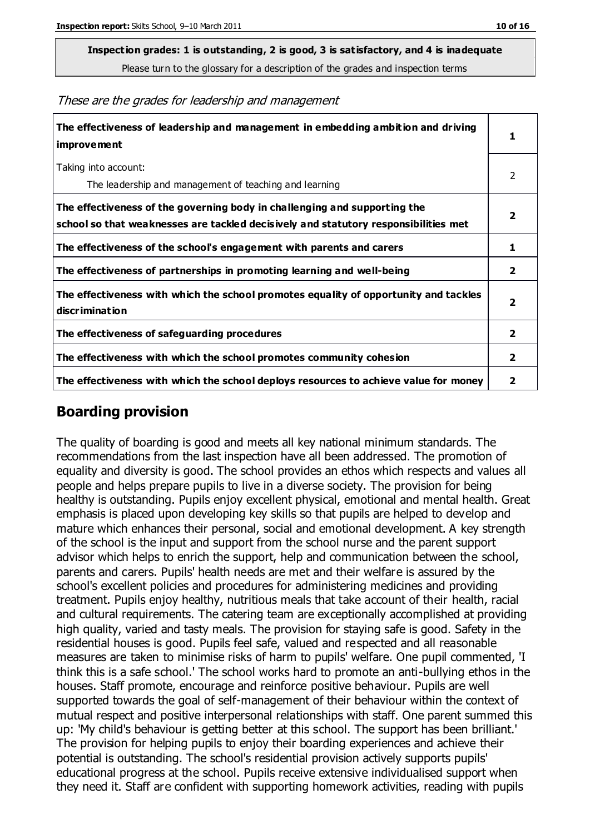# **Inspection grades: 1 is outstanding, 2 is good, 3 is satisfactory, and 4 is inadequate**

Please turn to the glossary for a description of the grades and inspection terms

| These are the grades for leadership and management |  |  |
|----------------------------------------------------|--|--|
|----------------------------------------------------|--|--|

| The effectiveness of leadership and management in embedding ambition and driving<br>improvement                                                                  | 1                       |
|------------------------------------------------------------------------------------------------------------------------------------------------------------------|-------------------------|
| Taking into account:<br>The leadership and management of teaching and learning                                                                                   | 2                       |
| The effectiveness of the governing body in challenging and supporting the<br>school so that weaknesses are tackled decisively and statutory responsibilities met | $\overline{\mathbf{2}}$ |
| The effectiveness of the school's engagement with parents and carers                                                                                             | 1                       |
| The effectiveness of partnerships in promoting learning and well-being                                                                                           | $\overline{2}$          |
| The effectiveness with which the school promotes equality of opportunity and tackles<br>discrimination                                                           | $\overline{\mathbf{2}}$ |
| The effectiveness of safeguarding procedures                                                                                                                     | $\mathbf{2}$            |
| The effectiveness with which the school promotes community cohesion                                                                                              | 2                       |
| The effectiveness with which the school deploys resources to achieve value for money                                                                             | 2                       |

#### **Boarding provision**

The quality of boarding is good and meets all key national minimum standards. The recommendations from the last inspection have all been addressed. The promotion of equality and diversity is good. The school provides an ethos which respects and values all people and helps prepare pupils to live in a diverse society. The provision for being healthy is outstanding. Pupils enjoy excellent physical, emotional and mental health. Great emphasis is placed upon developing key skills so that pupils are helped to develop and mature which enhances their personal, social and emotional development. A key strength of the school is the input and support from the school nurse and the parent support advisor which helps to enrich the support, help and communication between the school, parents and carers. Pupils' health needs are met and their welfare is assured by the school's excellent policies and procedures for administering medicines and providing treatment. Pupils enjoy healthy, nutritious meals that take account of their health, racial and cultural requirements. The catering team are exceptionally accomplished at providing high quality, varied and tasty meals. The provision for staying safe is good. Safety in the residential houses is good. Pupils feel safe, valued and respected and all reasonable measures are taken to minimise risks of harm to pupils' welfare. One pupil commented, 'I think this is a safe school.' The school works hard to promote an anti-bullying ethos in the houses. Staff promote, encourage and reinforce positive behaviour. Pupils are well supported towards the goal of self-management of their behaviour within the context of mutual respect and positive interpersonal relationships with staff. One parent summed this up: 'My child's behaviour is getting better at this school. The support has been brilliant.' The provision for helping pupils to enjoy their boarding experiences and achieve their potential is outstanding. The school's residential provision actively supports pupils' educational progress at the school. Pupils receive extensive individualised support when they need it. Staff are confident with supporting homework activities, reading with pupils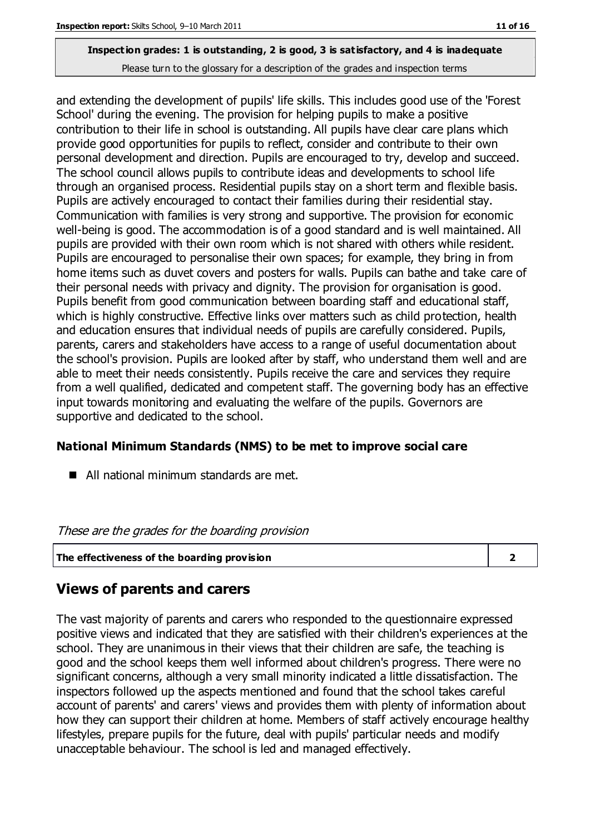and extending the development of pupils' life skills. This includes good use of the 'Forest School' during the evening. The provision for helping pupils to make a positive contribution to their life in school is outstanding. All pupils have clear care plans which provide good opportunities for pupils to reflect, consider and contribute to their own personal development and direction. Pupils are encouraged to try, develop and succeed. The school council allows pupils to contribute ideas and developments to school life through an organised process. Residential pupils stay on a short term and flexible basis. Pupils are actively encouraged to contact their families during their residential stay. Communication with families is very strong and supportive. The provision for economic well-being is good. The accommodation is of a good standard and is well maintained. All pupils are provided with their own room which is not shared with others while resident. Pupils are encouraged to personalise their own spaces; for example, they bring in from home items such as duvet covers and posters for walls. Pupils can bathe and take care of their personal needs with privacy and dignity. The provision for organisation is good. Pupils benefit from good communication between boarding staff and educational staff, which is highly constructive. Effective links over matters such as child protection, health and education ensures that individual needs of pupils are carefully considered. Pupils, parents, carers and stakeholders have access to a range of useful documentation about the school's provision. Pupils are looked after by staff, who understand them well and are able to meet their needs consistently. Pupils receive the care and services they require from a well qualified, dedicated and competent staff. The governing body has an effective input towards monitoring and evaluating the welfare of the pupils. Governors are supportive and dedicated to the school.

#### **National Minimum Standards (NMS) to be met to improve social care**

All national minimum standards are met.

#### These are the grades for the boarding provision

| The effectiveness of the boarding provision |  |
|---------------------------------------------|--|
|                                             |  |

#### **Views of parents and carers**

The vast majority of parents and carers who responded to the questionnaire expressed positive views and indicated that they are satisfied with their children's experiences at the school. They are unanimous in their views that their children are safe, the teaching is good and the school keeps them well informed about children's progress. There were no significant concerns, although a very small minority indicated a little dissatisfaction. The inspectors followed up the aspects mentioned and found that the school takes careful account of parents' and carers' views and provides them with plenty of information about how they can support their children at home. Members of staff actively encourage healthy lifestyles, prepare pupils for the future, deal with pupils' particular needs and modify unacceptable behaviour. The school is led and managed effectively.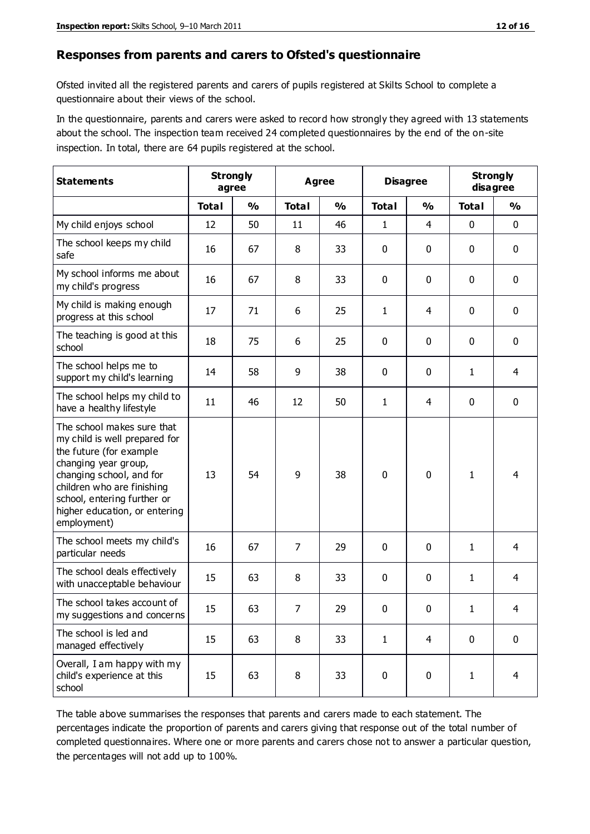#### **Responses from parents and carers to Ofsted's questionnaire**

Ofsted invited all the registered parents and carers of pupils registered at Skilts School to complete a questionnaire about their views of the school.

In the questionnaire, parents and carers were asked to record how strongly they agreed with 13 statements about the school. The inspection team received 24 completed questionnaires by the end of the on-site inspection. In total, there are 64 pupils registered at the school.

| <b>Statements</b>                                                                                                                                                                                                                                       | <b>Strongly</b><br>agree |               | <b>Agree</b>   |               |              | <b>Disagree</b> |              | <b>Strongly</b><br>disagree |
|---------------------------------------------------------------------------------------------------------------------------------------------------------------------------------------------------------------------------------------------------------|--------------------------|---------------|----------------|---------------|--------------|-----------------|--------------|-----------------------------|
|                                                                                                                                                                                                                                                         | <b>Total</b>             | $\frac{0}{0}$ | <b>Total</b>   | $\frac{0}{0}$ | <b>Total</b> | $\frac{0}{0}$   | <b>Total</b> | $\frac{0}{0}$               |
| My child enjoys school                                                                                                                                                                                                                                  | 12                       | 50            | 11             | 46            | 1            | $\overline{4}$  | $\mathbf 0$  | $\mathbf 0$                 |
| The school keeps my child<br>safe                                                                                                                                                                                                                       | 16                       | 67            | 8              | 33            | 0            | 0               | $\mathbf 0$  | $\mathbf 0$                 |
| My school informs me about<br>my child's progress                                                                                                                                                                                                       | 16                       | 67            | 8              | 33            | 0            | $\mathbf 0$     | $\mathbf 0$  | $\mathbf 0$                 |
| My child is making enough<br>progress at this school                                                                                                                                                                                                    | 17                       | 71            | 6              | 25            | 1            | 4               | 0            | $\mathbf 0$                 |
| The teaching is good at this<br>school                                                                                                                                                                                                                  | 18                       | 75            | 6              | 25            | 0            | 0               | $\mathbf 0$  | $\mathbf 0$                 |
| The school helps me to<br>support my child's learning                                                                                                                                                                                                   | 14                       | 58            | 9              | 38            | 0            | 0               | 1            | 4                           |
| The school helps my child to<br>have a healthy lifestyle                                                                                                                                                                                                | 11                       | 46            | 12             | 50            | $\mathbf{1}$ | $\overline{4}$  | $\mathbf 0$  | $\mathbf 0$                 |
| The school makes sure that<br>my child is well prepared for<br>the future (for example<br>changing year group,<br>changing school, and for<br>children who are finishing<br>school, entering further or<br>higher education, or entering<br>employment) | 13                       | 54            | 9              | 38            | $\mathbf 0$  | $\mathbf{0}$    | $\mathbf{1}$ | 4                           |
| The school meets my child's<br>particular needs                                                                                                                                                                                                         | 16                       | 67            | $\overline{7}$ | 29            | 0            | $\mathbf{0}$    | $\mathbf{1}$ | 4                           |
| The school deals effectively<br>with unacceptable behaviour                                                                                                                                                                                             | 15                       | 63            | 8              | 33            | 0            | 0               | 1            | 4                           |
| The school takes account of<br>my suggestions and concerns                                                                                                                                                                                              | 15                       | 63            | 7              | 29            | 0            | 0               | 1            | 4                           |
| The school is led and<br>managed effectively                                                                                                                                                                                                            | 15                       | 63            | 8              | 33            | $\mathbf{1}$ | $\overline{4}$  | $\mathbf 0$  | $\mathbf 0$                 |
| Overall, I am happy with my<br>child's experience at this<br>school                                                                                                                                                                                     | 15                       | 63            | 8              | 33            | $\pmb{0}$    | 0               | $\mathbf{1}$ | $\overline{4}$              |

The table above summarises the responses that parents and carers made to each statement. The percentages indicate the proportion of parents and carers giving that response out of the total number of completed questionnaires. Where one or more parents and carers chose not to answer a particular question, the percentages will not add up to 100%.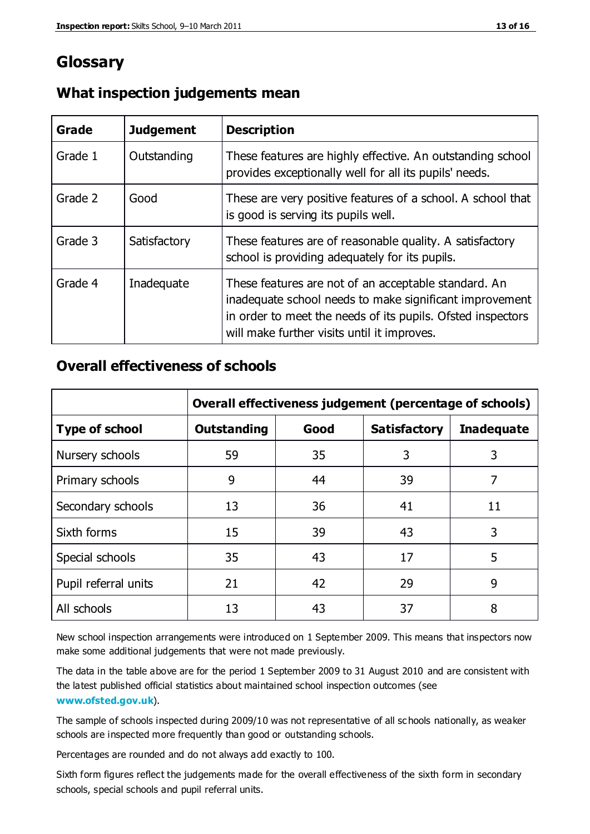# **Glossary**

| Grade   | <b>Judgement</b> | <b>Description</b>                                                                                                                                                                                                            |
|---------|------------------|-------------------------------------------------------------------------------------------------------------------------------------------------------------------------------------------------------------------------------|
| Grade 1 | Outstanding      | These features are highly effective. An outstanding school<br>provides exceptionally well for all its pupils' needs.                                                                                                          |
| Grade 2 | Good             | These are very positive features of a school. A school that<br>is good is serving its pupils well.                                                                                                                            |
| Grade 3 | Satisfactory     | These features are of reasonable quality. A satisfactory<br>school is providing adequately for its pupils.                                                                                                                    |
| Grade 4 | Inadequate       | These features are not of an acceptable standard. An<br>inadequate school needs to make significant improvement<br>in order to meet the needs of its pupils. Ofsted inspectors<br>will make further visits until it improves. |

#### **What inspection judgements mean**

#### **Overall effectiveness of schools**

|                       | Overall effectiveness judgement (percentage of schools) |      |                     |                   |  |
|-----------------------|---------------------------------------------------------|------|---------------------|-------------------|--|
| <b>Type of school</b> | <b>Outstanding</b>                                      | Good | <b>Satisfactory</b> | <b>Inadequate</b> |  |
| Nursery schools       | 59                                                      | 35   | 3                   |                   |  |
| Primary schools       | 9                                                       | 44   | 39                  | 7                 |  |
| Secondary schools     | 13                                                      | 36   | 41                  | 11                |  |
| Sixth forms           | 15                                                      | 39   | 43                  | 3                 |  |
| Special schools       | 35                                                      | 43   | 17                  | 5                 |  |
| Pupil referral units  | 21                                                      | 42   | 29                  | 9                 |  |
| All schools           | 13                                                      | 43   | 37                  | 8                 |  |

New school inspection arrangements were introduced on 1 September 2009. This means that inspectors now make some additional judgements that were not made previously.

The data in the table above are for the period 1 September 2009 to 31 August 2010 and are consistent with the latest published official statistics about maintained school inspection outcomes (see **[www.ofsted.gov.uk](http://www.ofsted.gov.uk/)**).

The sample of schools inspected during 2009/10 was not representative of all sc hools nationally, as weaker schools are inspected more frequently than good or outstanding schools.

Percentages are rounded and do not always add exactly to 100.

Sixth form figures reflect the judgements made for the overall effectiveness of the sixth form in secondary schools, special schools and pupil referral units.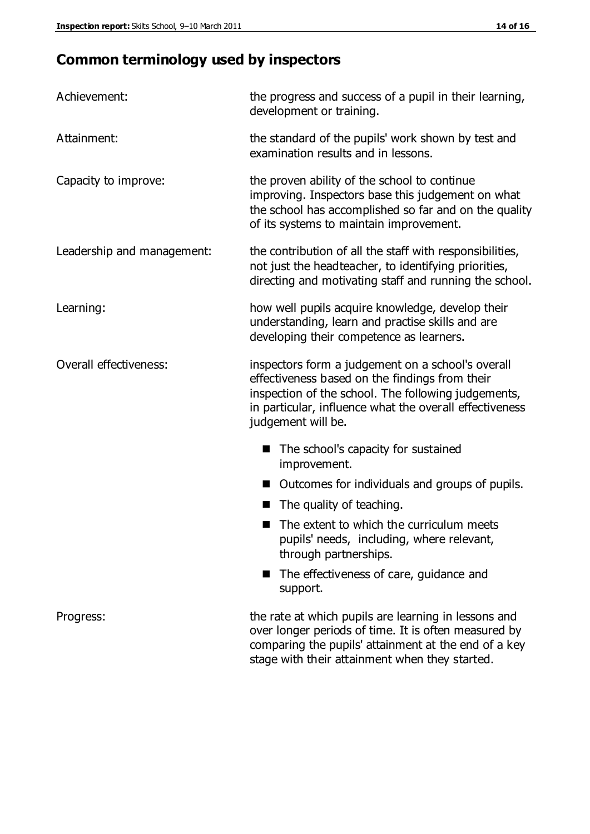# **Common terminology used by inspectors**

| Achievement:               | the progress and success of a pupil in their learning,<br>development or training.                                                                                                                                                          |  |  |
|----------------------------|---------------------------------------------------------------------------------------------------------------------------------------------------------------------------------------------------------------------------------------------|--|--|
| Attainment:                | the standard of the pupils' work shown by test and<br>examination results and in lessons.                                                                                                                                                   |  |  |
| Capacity to improve:       | the proven ability of the school to continue<br>improving. Inspectors base this judgement on what<br>the school has accomplished so far and on the quality<br>of its systems to maintain improvement.                                       |  |  |
| Leadership and management: | the contribution of all the staff with responsibilities,<br>not just the headteacher, to identifying priorities,<br>directing and motivating staff and running the school.                                                                  |  |  |
| Learning:                  | how well pupils acquire knowledge, develop their<br>understanding, learn and practise skills and are<br>developing their competence as learners.                                                                                            |  |  |
| Overall effectiveness:     | inspectors form a judgement on a school's overall<br>effectiveness based on the findings from their<br>inspection of the school. The following judgements,<br>in particular, influence what the overall effectiveness<br>judgement will be. |  |  |
|                            | The school's capacity for sustained<br>improvement.                                                                                                                                                                                         |  |  |
|                            | Outcomes for individuals and groups of pupils.                                                                                                                                                                                              |  |  |
|                            | The quality of teaching.                                                                                                                                                                                                                    |  |  |
|                            | The extent to which the curriculum meets<br>pupils' needs, including, where relevant,<br>through partnerships.                                                                                                                              |  |  |
|                            | The effectiveness of care, guidance and<br>support.                                                                                                                                                                                         |  |  |
| Progress:                  | the rate at which pupils are learning in lessons and<br>over longer periods of time. It is often measured by<br>comparing the pupils' attainment at the end of a key                                                                        |  |  |

stage with their attainment when they started.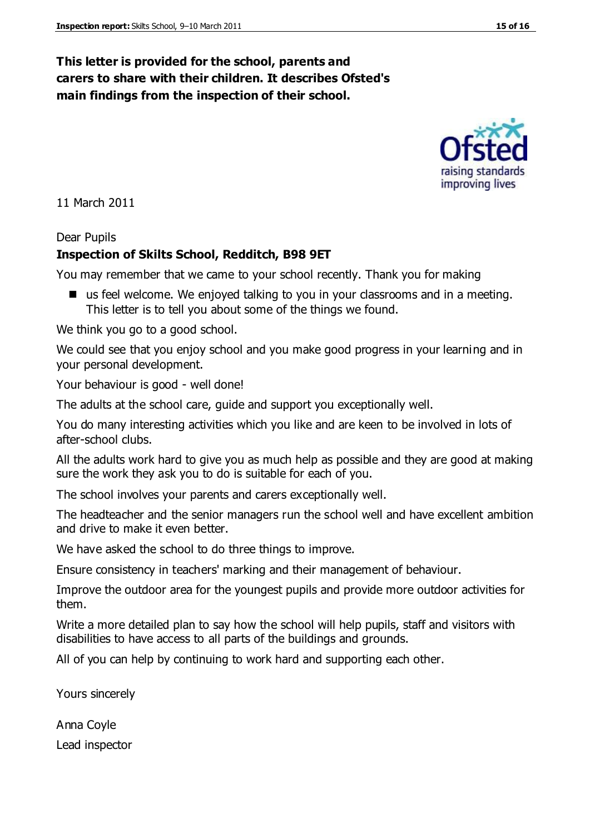#### **This letter is provided for the school, parents and carers to share with their children. It describes Ofsted's main findings from the inspection of their school.**

11 March 2011

#### Dear Pupils

#### **Inspection of Skilts School, Redditch, B98 9ET**

You may remember that we came to your school recently. Thank you for making

■ us feel welcome. We enjoyed talking to you in your classrooms and in a meeting. This letter is to tell you about some of the things we found.

We think you go to a good school.

We could see that you enjoy school and you make good progress in your learning and in your personal development.

Your behaviour is good - well done!

The adults at the school care, guide and support you exceptionally well.

You do many interesting activities which you like and are keen to be involved in lots of after-school clubs.

All the adults work hard to give you as much help as possible and they are good at making sure the work they ask you to do is suitable for each of you.

The school involves your parents and carers exceptionally well.

The headteacher and the senior managers run the school well and have excellent ambition and drive to make it even better.

We have asked the school to do three things to improve.

Ensure consistency in teachers' marking and their management of behaviour.

Improve the outdoor area for the youngest pupils and provide more outdoor activities for them.

Write a more detailed plan to say how the school will help pupils, staff and visitors with disabilities to have access to all parts of the buildings and grounds.

All of you can help by continuing to work hard and supporting each other.

Yours sincerely

Anna Coyle Lead inspector